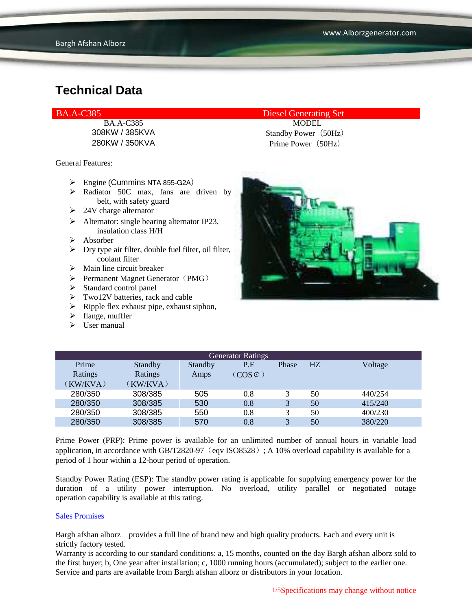BA.A-C385 MODEL

General Features:

- $\triangleright$  Engine (Cummins NTA 855-G2A)
- $\triangleright$  Radiator 50C max, fans are driven by belt, with safety guard
- $\geq 24V$  charge alternator
- $\triangleright$  Alternator: single bearing alternator IP23, insulation class H/H
- Absorber
- $\triangleright$  Dry type air filter, double fuel filter, oil filter, coolant filter
- $\triangleright$  Main line circuit breaker
- $\triangleright$  Permanent Magnet Generator (PMG)
- $\triangleright$  Standard control panel
- $\triangleright$  Two12V batteries, rack and cable
- $\triangleright$  Ripple flex exhaust pipe, exhaust siphon,
- $\blacktriangleright$  flange, muffler
- $\triangleright$  User manual

BA.A-C385 Diesel Generating Set

308KW / 385KVA Standby Power(50Hz) 280KW / 350KVA Prime Power(50Hz)



| <b>Generator Ratings</b> |          |         |                     |       |                |         |
|--------------------------|----------|---------|---------------------|-------|----------------|---------|
| Prime                    | Standby  | Standby | P.F                 | Phase | H <sub>Z</sub> | Voltage |
| Ratings                  | Ratings  | Amps    | $(COS \mathcal{C})$ |       |                |         |
| (KW/KVA)                 | (KW/KVA) |         |                     |       |                |         |
| 280/350                  | 308/385  | 505     | 0.8                 |       | 50             | 440/254 |
| 280/350                  | 308/385  | 530     | 0.8                 | 3     | 50             | 415/240 |
| 280/350                  | 308/385  | 550     | 0.8                 |       | 50             | 400/230 |
| 280/350                  | 308/385  | 570     | 0.8                 |       | 50             | 380/220 |

Prime Power (PRP): Prime power is available for an unlimited number of annual hours in variable load application, in accordance with GB/T2820-97 (eqv ISO8528); A 10% overload capability is available for a period of 1 hour within a 12-hour period of operation.

Standby Power Rating (ESP): The standby power rating is applicable for supplying emergency power for the duration of a utility power interruption. No overload, utility parallel or negotiated outage operation capability is available at this rating.

#### Sales Promises

Bargh afshan alborz provides a full line of brand new and high quality products. Each and every unit is strictly factory tested.

Warranty is according to our standard conditions: a, 15 months, counted on the day Bargh afshan alborz sold to the first buyer; b, One year after installation; c, 1000 running hours (accumulated); subject to the earlier one. Service and parts are available from Bargh afshan alborz or distributors in your location.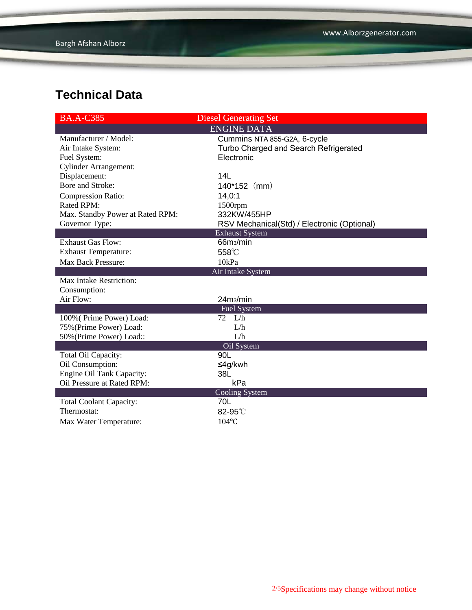| <b>BA.A-C385</b>                 | <b>Diesel Generating Set</b>                |  |  |  |
|----------------------------------|---------------------------------------------|--|--|--|
| <b>ENGINE DATA</b>               |                                             |  |  |  |
| Manufacturer / Model:            | Cummins NTA 855-G2A, 6-cycle                |  |  |  |
| Air Intake System:               | Turbo Charged and Search Refrigerated       |  |  |  |
| Fuel System:                     | Electronic                                  |  |  |  |
| <b>Cylinder Arrangement:</b>     |                                             |  |  |  |
| Displacement:                    | 14L                                         |  |  |  |
| Bore and Stroke:                 | $140*152$ (mm)                              |  |  |  |
| <b>Compression Ratio:</b>        | 14,0:1                                      |  |  |  |
| <b>Rated RPM:</b>                | $1500$ rpm                                  |  |  |  |
| Max. Standby Power at Rated RPM: | 332KW/455HP                                 |  |  |  |
| Governor Type:                   | RSV Mechanical(Std) / Electronic (Optional) |  |  |  |
|                                  | <b>Exhaust System</b>                       |  |  |  |
| <b>Exhaust Gas Flow:</b>         | 66m <sub>3</sub> /min                       |  |  |  |
| <b>Exhaust Temperature:</b>      | 558°C                                       |  |  |  |
| Max Back Pressure:               | 10kPa                                       |  |  |  |
|                                  | Air Intake System                           |  |  |  |
| <b>Max Intake Restriction:</b>   |                                             |  |  |  |
| Consumption:                     |                                             |  |  |  |
| Air Flow:                        | 24m <sub>3</sub> /min                       |  |  |  |
|                                  | <b>Fuel System</b>                          |  |  |  |
| 100% (Prime Power) Load:         | $72 \quad L/h$                              |  |  |  |
| 75% (Prime Power) Load:          | L/h                                         |  |  |  |
| 50% (Prime Power) Load::         | L/h                                         |  |  |  |
|                                  | Oil System                                  |  |  |  |
| Total Oil Capacity:              | 90L                                         |  |  |  |
| Oil Consumption:                 | ≤4g/kwh                                     |  |  |  |
| Engine Oil Tank Capacity:        | 38L                                         |  |  |  |
| Oil Pressure at Rated RPM:       | kPa                                         |  |  |  |
|                                  | Cooling System                              |  |  |  |
| <b>Total Coolant Capacity:</b>   | 70L                                         |  |  |  |
| Thermostat:                      | 82-95°C                                     |  |  |  |
| Max Water Temperature:           | 104°C                                       |  |  |  |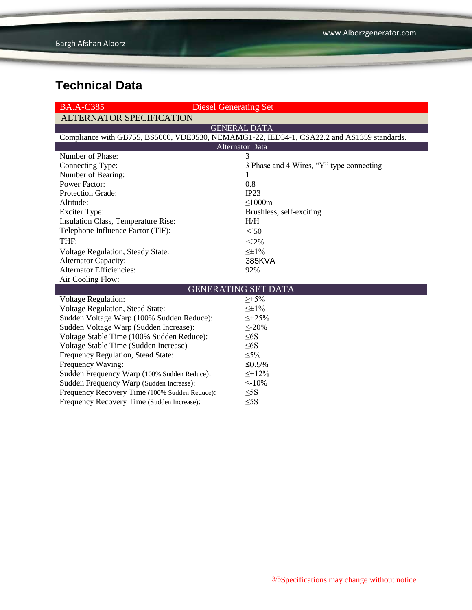| <b>BA.A-C385</b>                                                                           | <b>Diesel Generating Set</b>             |  |  |  |  |
|--------------------------------------------------------------------------------------------|------------------------------------------|--|--|--|--|
| <b>ALTERNATOR SPECIFICATION</b>                                                            |                                          |  |  |  |  |
|                                                                                            | <b>GENERAL DATA</b>                      |  |  |  |  |
| Compliance with GB755, BS5000, VDE0530, NEMAMG1-22, IED34-1, CSA22.2 and AS1359 standards. |                                          |  |  |  |  |
| <b>Alternator Data</b>                                                                     |                                          |  |  |  |  |
| Number of Phase:                                                                           | 3                                        |  |  |  |  |
| Connecting Type:                                                                           | 3 Phase and 4 Wires, "Y" type connecting |  |  |  |  |
| Number of Bearing:                                                                         | 1                                        |  |  |  |  |
| <b>Power Factor:</b>                                                                       | 0.8                                      |  |  |  |  |
| Protection Grade:                                                                          | IP23                                     |  |  |  |  |
| Altitude:                                                                                  | $\leq 1000m$                             |  |  |  |  |
| <b>Exciter Type:</b>                                                                       | Brushless, self-exciting                 |  |  |  |  |
| Insulation Class, Temperature Rise:                                                        | H/H                                      |  |  |  |  |
| Telephone Influence Factor (TIF):                                                          | $<$ 50                                   |  |  |  |  |
| THF:                                                                                       | $<$ 2%                                   |  |  |  |  |
| <b>Voltage Regulation, Steady State:</b>                                                   | $\leq \pm 1\%$                           |  |  |  |  |
| Alternator Capacity:                                                                       | 385KVA                                   |  |  |  |  |
| <b>Alternator Efficiencies:</b>                                                            | 92%                                      |  |  |  |  |
| Air Cooling Flow:                                                                          |                                          |  |  |  |  |
|                                                                                            | <b>GENERATING SET DATA</b>               |  |  |  |  |
| Voltage Regulation:                                                                        | $\geq \pm 5\%$                           |  |  |  |  |
| <b>Voltage Regulation, Stead State:</b>                                                    | $\leq \pm 1\%$                           |  |  |  |  |
| Sudden Voltage Warp (100% Sudden Reduce):                                                  | $\leq +25\%$                             |  |  |  |  |
| Sudden Voltage Warp (Sudden Increase):                                                     | $\leq$ -20%                              |  |  |  |  |
| Voltage Stable Time (100% Sudden Reduce):                                                  | $\leq 6S$                                |  |  |  |  |
| Voltage Stable Time (Sudden Increase)                                                      | $\leq 6S$                                |  |  |  |  |
| Frequency Regulation, Stead State:                                                         | $\leq 5\%$                               |  |  |  |  |
| Frequency Waving:                                                                          | ≤0.5%                                    |  |  |  |  |
| Sudden Frequency Warp (100% Sudden Reduce):                                                | $\leq +12\%$                             |  |  |  |  |
| Sudden Frequency Warp (Sudden Increase):                                                   | $\leq$ -10%                              |  |  |  |  |
| Frequency Recovery Time (100% Sudden Reduce):                                              | $\leq$ 5S                                |  |  |  |  |
| Frequency Recovery Time (Sudden Increase):                                                 | $\leq$ 5S                                |  |  |  |  |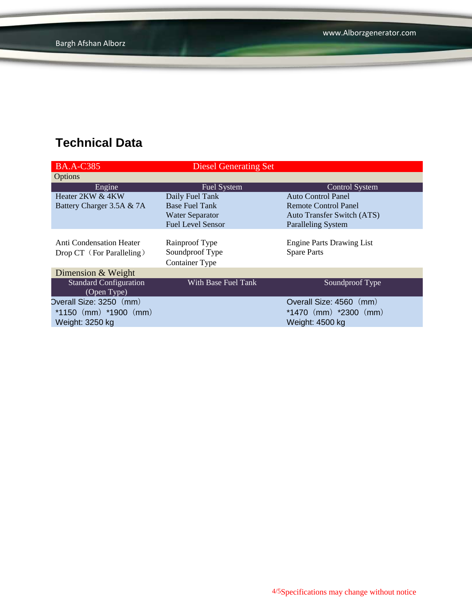| <b>BA.A-C385</b>              | <b>Diesel Generating Set</b> |                                   |
|-------------------------------|------------------------------|-----------------------------------|
| <b>Options</b>                |                              |                                   |
| Engine                        | <b>Fuel System</b>           | Control System                    |
| Heater 2KW & 4KW              | Daily Fuel Tank              | Auto Control Panel                |
| Battery Charger 3.5A & 7A     | <b>Base Fuel Tank</b>        | Remote Control Panel              |
|                               | <b>Water Separator</b>       | <b>Auto Transfer Switch (ATS)</b> |
|                               | <b>Fuel Level Sensor</b>     | <b>Paralleling System</b>         |
|                               |                              |                                   |
| Anti Condensation Heater      | Rainproof Type               | <b>Engine Parts Drawing List</b>  |
| Drop CT (For Paralleling)     | Soundproof Type              | <b>Spare Parts</b>                |
|                               | <b>Container Type</b>        |                                   |
| Dimension & Weight            |                              |                                   |
| <b>Standard Configuration</b> | With Base Fuel Tank          | Soundproof Type                   |
| (Open Type)                   |                              |                                   |
| Overall Size: 3250 (mm)       |                              | Overall Size: 4560 (mm)           |
| *1150 $(mm)$ *1900 $(mm)$     |                              | $*1470$ (mm) $*2300$ (mm)         |
| Weight: 3250 kg               |                              | Weight: 4500 kg                   |